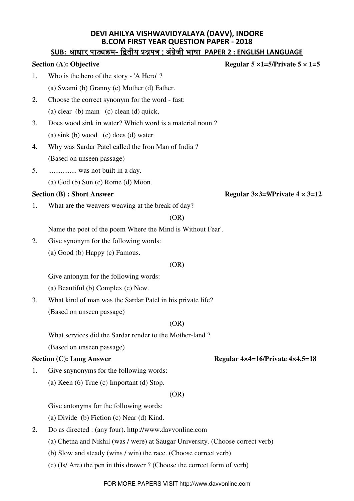## **DEVI AHILYA VISHWAVIDYALAYA (DAVV), INDORE B.COM FIRST YEAR QUESTION PAPER - 2018 SUB:** आधार पाठ्यक्रम- हििीय प्रश्नपत्र : अुंग्रजे ी भाषा **PAPER 2 : ENGLISH LANGUAGE**

| <b>Section (A): Objective</b> |                                                            | Regular 5 $\times$ 1=5/Private 5 $\times$ 1=5          |
|-------------------------------|------------------------------------------------------------|--------------------------------------------------------|
| 1.                            | Who is the hero of the story - 'A Hero'?                   |                                                        |
|                               | (a) Swami (b) Granny (c) Mother (d) Father.                |                                                        |
| 2.                            | Choose the correct synonym for the word - fast:            |                                                        |
|                               | (a) clear (b) main (c) clean (d) quick,                    |                                                        |
| 3.                            | Does wood sink in water? Which word is a material noun?    |                                                        |
|                               | (a) sink (b) wood (c) does (d) water                       |                                                        |
| 4.                            | Why was Sardar Patel called the Iron Man of India?         |                                                        |
|                               | (Based on unseen passage)                                  |                                                        |
| 5.                            | was not built in a day.                                    |                                                        |
|                               | $(a)$ God $(b)$ Sun $(c)$ Rome $(d)$ Moon.                 |                                                        |
|                               | <b>Section (B) : Short Answer</b>                          | Regular $3\times3=9$ /Private $4\times3=12$            |
| 1.                            | What are the weavers weaving at the break of day?          |                                                        |
|                               | (OR)                                                       |                                                        |
|                               | Name the poet of the poem Where the Mind is Without Fear'. |                                                        |
| 2.                            | Give synonym for the following words:                      |                                                        |
|                               | (a) Good (b) Happy (c) Famous.                             |                                                        |
|                               | (OR)                                                       |                                                        |
|                               | Give antonym for the following words:                      |                                                        |
|                               | (a) Beautiful (b) Complex (c) New.                         |                                                        |
| 3.                            | What kind of man was the Sardar Patel in his private life? |                                                        |
|                               | (Based on unseen passage)                                  |                                                        |
|                               | (OR)                                                       |                                                        |
|                               | What services did the Sardar render to the Mother-land?    |                                                        |
|                               | (Based on unseen passage)                                  |                                                        |
|                               | <b>Section (C): Long Answer</b>                            | Regular $4 \times 4 = 16$ /Private $4 \times 4.5 = 18$ |
| 1.                            | Give snynonyms for the following words:                    |                                                        |
|                               | (a) Keen $(6)$ True $(c)$ Important $(d)$ Stop.            |                                                        |
| (OR)                          |                                                            |                                                        |
|                               |                                                            |                                                        |

Give antonyms for the following words:

(a) Divide (b) Fiction (c) Near (d) Kind.

- 2. Do as directed : (any four). http://www.davvonline.com
	- (a) Chetna and Nikhil (was / were) at Saugar University. (Choose correct verb)
	- (b) Slow and steady (wins / win) the race. (Choose correct verb)
	- (c) (Is/ Are) the pen in this drawer ? (Choose the correct form of verb)